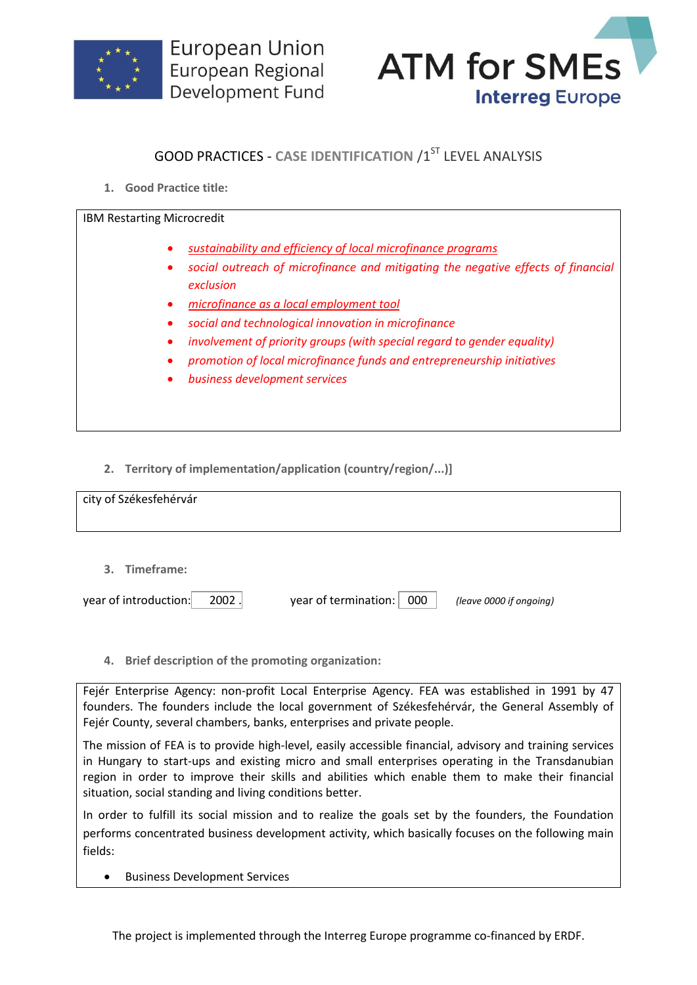



## **GOOD PRACTICES - CASE IDENTIFICATION /1ST LEVEL ANALYSIS**

**1. Good Practice title:**

| IBM Restarting Microcredit                                                                                                                                                                                                                                                                                                                                                                                                                                 |
|------------------------------------------------------------------------------------------------------------------------------------------------------------------------------------------------------------------------------------------------------------------------------------------------------------------------------------------------------------------------------------------------------------------------------------------------------------|
| sustainability and efficiency of local microfinance programs<br>social outreach of microfinance and mitigating the negative effects of financial<br>exclusion<br>microfinance as a local employment tool<br>social and technological innovation in microfinance<br>involvement of priority groups (with special regard to gender equality)<br>promotion of local microfinance funds and entrepreneurship initiatives<br>business development services<br>٠ |
|                                                                                                                                                                                                                                                                                                                                                                                                                                                            |

**2. Territory of implementation/application (country/region/...)]**

| city of Székesfehérvár         |                             |                         |
|--------------------------------|-----------------------------|-------------------------|
|                                |                             |                         |
| 3. Timeframe:                  |                             |                         |
| year of introduction:<br>2002. | year of termination:<br>000 | (leave 0000 if ongoing) |

**4. Brief description of the promoting organization:**

Fejér Enterprise Agency: non-profit Local Enterprise Agency. FEA was established in 1991 by 47 founders. The founders include the local government of Székesfehérvár, the General Assembly of Fejér County, several chambers, banks, enterprises and private people.

The mission of FEA is to provide high-level, easily accessible financial, advisory and training services in Hungary to start-ups and existing micro and small enterprises operating in the Transdanubian region in order to improve their skills and abilities which enable them to make their financial situation, social standing and living conditions better.

In order to fulfill its social mission and to realize the goals set by the founders, the Foundation performs concentrated business development activity, which basically focuses on the following main fields:

**•** Business Development Services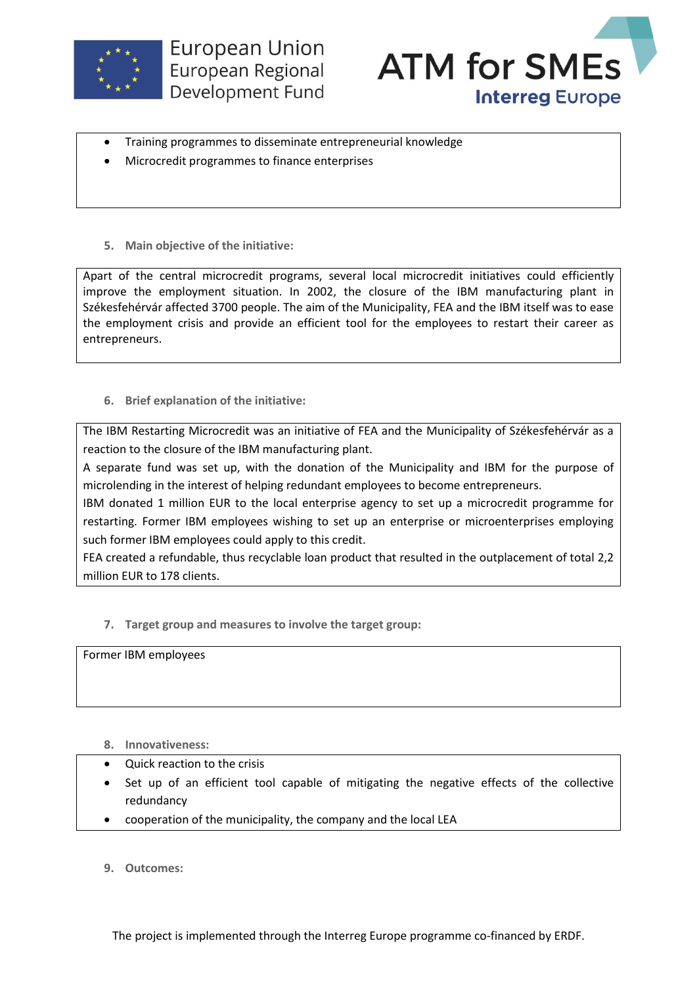



- Training programmes to disseminate entrepreneurial knowledge
- Microcredit programmes to finance enterprises
- **5. Main objective of the initiative:**

Apart of the central microcredit programs, several local microcredit initiatives could efficiently improve the employment situation. In 2002, the closure of the IBM manufacturing plant in Székesfehérvár affected 3700 people. The aim of the Municipality, FEA and the IBM itself was to ease the employment crisis and provide an efficient tool for the employees to restart their career as entrepreneurs.

## **6. Brief explanation of the initiative:**

The IBM Restarting Microcredit was an initiative of FEA and the Municipality of Székesfehérvár as a reaction to the closure of the IBM manufacturing plant.

A separate fund was set up, with the donation of the Municipality and IBM for the purpose of microlending in the interest of helping redundant employees to become entrepreneurs.

IBM donated 1 million EUR to the local enterprise agency to set up a microcredit programme for restarting. Former IBM employees wishing to set up an enterprise or microenterprises employing such former IBM employees could apply to this credit.

FEA created a refundable, thus recyclable loan product that resulted in the outplacement of total 2,2 million EUR to 178 clients.

**7. Target group and measures to involve the target group:**

Former IBM employees

- **8. Innovativeness:**
- Quick reaction to the crisis
- Set up of an efficient tool capable of mitigating the negative effects of the collective redundancy
- cooperation of the municipality, the company and the local LEA
- **9. Outcomes:**

The project is implemented through the Interreg Europe programme co-financed by ERDF.